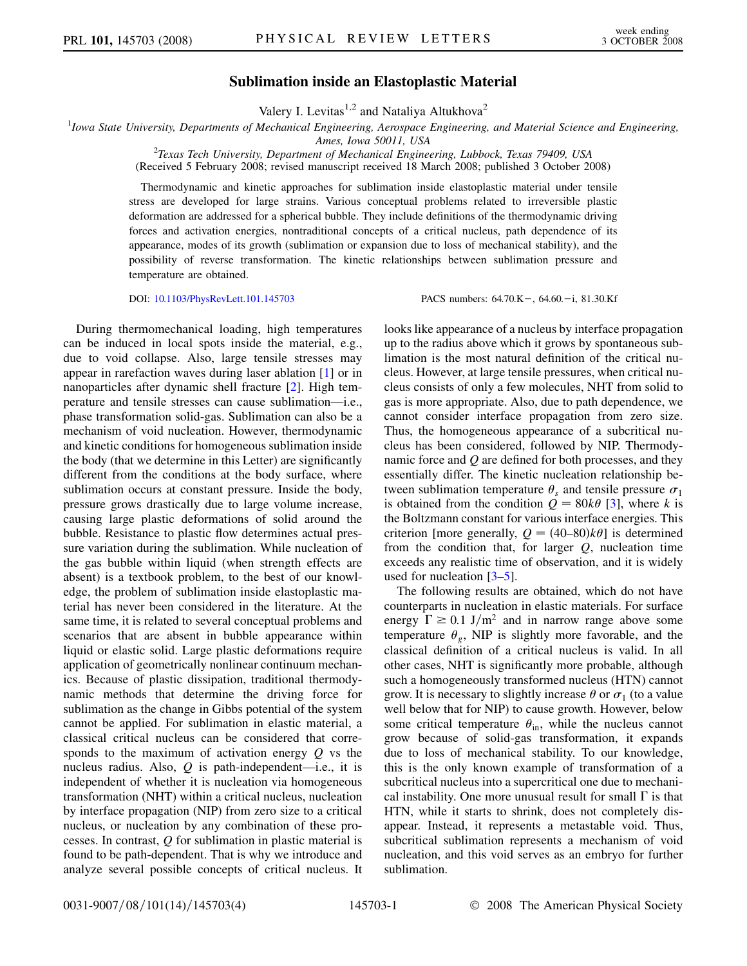## Sublimation inside an Elastoplastic Material

Valery I. Levitas<sup>1,2</sup> and Nataliya Altukhova<sup>2</sup>

 $1$ Iowa State University, Departments of Mechanical Engineering, Aerospace Engineering, and Material Science and Engineering,

Ames, Iowa 50011, USA<br><sup>2</sup>Texas Tech University, Department of Mechanical Engineering, Lubbock, Texas 79409, USA

(Received 5 February 2008; revised manuscript received 18 March 2008; published 3 October 2008)

Thermodynamic and kinetic approaches for sublimation inside elastoplastic material under tensile stress are developed for large strains. Various conceptual problems related to irreversible plastic deformation are addressed for a spherical bubble. They include definitions of the thermodynamic driving forces and activation energies, nontraditional concepts of a critical nucleus, path dependence of its appearance, modes of its growth (sublimation or expansion due to loss of mechanical stability), and the possibility of reverse transformation. The kinetic relationships between sublimation pressure and temperature are obtained.

DOI: [10.1103/PhysRevLett.101.145703](http://dx.doi.org/10.1103/PhysRevLett.101.145703) PACS numbers: 64.70.K–, 64.60.–i, 81.30.Kf

During thermomechanical loading, high temperatures can be induced in local spots inside the material, e.g., due to void collapse. Also, large tensile stresses may appear in rarefaction waves during laser ablation [1] or in nanoparticles after dynamic shell fracture [2]. High temperature and tensile stresses can cause sublimation—i.e., phase transformation solid-gas. Sublimation can also be a mechanism of void nucleation. However, thermodynamic and kinetic conditions for homogeneous sublimation inside the body (that we determine in this Letter) are significantly different from the conditions at the body surface, where sublimation occurs at constant pressure. Inside the body, pressure grows drastically due to large volume increase, causing large plastic deformations of solid around the bubble. Resistance to plastic flow determines actual pressure variation during the sublimation. While nucleation of the gas bubble within liquid (when strength effects are absent) is a textbook problem, to the best of our knowledge, the problem of sublimation inside elastoplastic material has never been considered in the literature. At the same time, it is related to several conceptual problems and scenarios that are absent in bubble appearance within liquid or elastic solid. Large plastic deformations require application of geometrically nonlinear continuum mechanics. Because of plastic dissipation, traditional thermodynamic methods that determine the driving force for sublimation as the change in Gibbs potential of the system cannot be applied. For sublimation in elastic material, a classical critical nucleus can be considered that corresponds to the maximum of activation energy  $\ddot{O}$  vs the nucleus radius. Also,  $Q$  is path-independent—i.e., it is independent of whether it is nucleation via homogeneous transformation (NHT) within a critical nucleus, nucleation by interface propagation (NIP) from zero size to a critical nucleus, or nucleation by any combination of these processes. In contrast, Q for sublimation in plastic material is found to be path-dependent. That is why we introduce and analyze several possible concepts of critical nucleus. It looks like appearance of a nucleus by interface propagation up to the radius above which it grows by spontaneous sublimation is the most natural definition of the critical nucleus. However, at large tensile pressures, when critical nucleus consists of only a few molecules, NHT from solid to gas is more appropriate. Also, due to path dependence, we cannot consider interface propagation from zero size. Thus, the homogeneous appearance of a subcritical nucleus has been considered, followed by NIP. Thermodynamic force and  $Q$  are defined for both processes, and they essentially differ. The kinetic nucleation relationship between sublimation temperature  $\theta_s$  and tensile pressure  $\sigma_1$ is obtained from the condition  $Q = 80k\theta$  [3], where k is<br>the Boltzmann constant for various interface energies. This the Boltzmann constant for various interface energies. This criterion [more generally,  $Q = (40–80)k\theta$ ] is determined from the condition that, for larger  $Q$ , nucleation time exceeds any realistic time of observation, and it is widely used for nucleation [3–5].

The following results are obtained, which do not have counterparts in nucleation in elastic materials. For surface energy  $\Gamma \ge 0.1$  J/m<sup>2</sup> and in narrow range above some temperature  $\theta$ . NIP is slightly more favorable, and the temperature  $\theta_g$ , NIP is slightly more favorable, and the classical definition of a critical nucleus is valid. In all other cases, NHT is significantly more probable, although such a homogeneously transformed nucleus (HTN) cannot grow. It is necessary to slightly increase  $\theta$  or  $\sigma_1$  (to a value<br>well below that for NIP) to cause growth. However, below well below that for NIP) to cause growth. However, below some critical temperature  $\theta_{\text{in}}$ , while the nucleus cannot grow because of solid-gas transformation, it expands due to loss of mechanical stability. To our knowledge, this is the only known example of transformation of a subcritical nucleus into a supercritical one due to mechanical instability. One more unusual result for small  $\Gamma$  is that HTN, while it starts to shrink, does not completely disappear. Instead, it represents a metastable void. Thus, subcritical sublimation represents a mechanism of void nucleation, and this void serves as an embryo for further sublimation.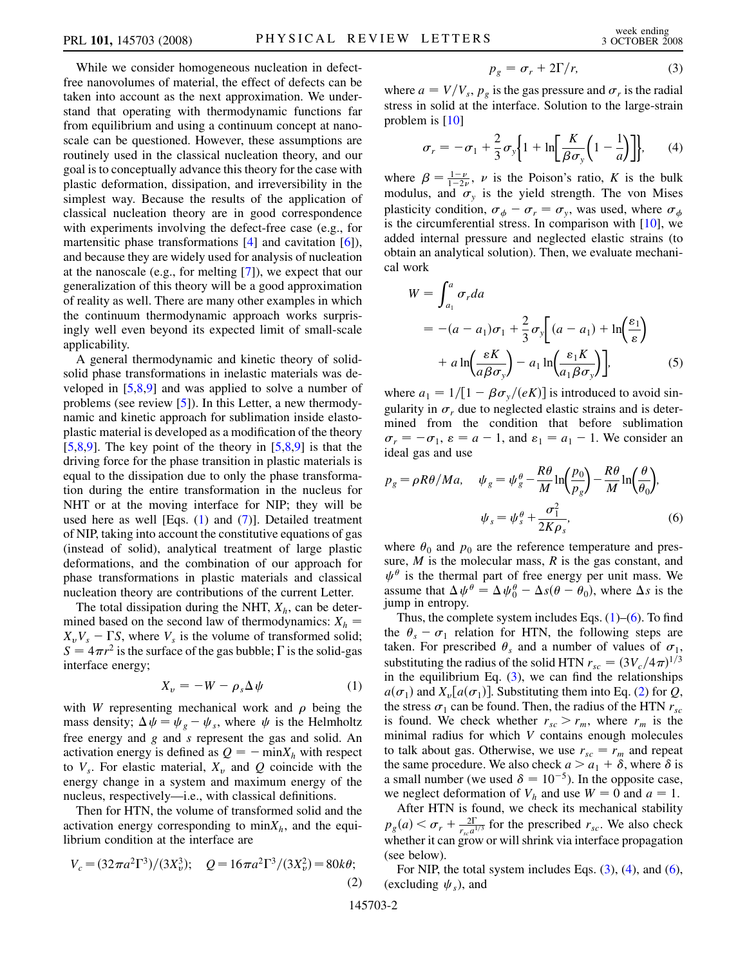While we consider homogeneous nucleation in defectfree nanovolumes of material, the effect of defects can be taken into account as the next approximation. We understand that operating with thermodynamic functions far from equilibrium and using a continuum concept at nanoscale can be questioned. However, these assumptions are routinely used in the classical nucleation theory, and our goal is to conceptually advance this theory for the case with plastic deformation, dissipation, and irreversibility in the simplest way. Because the results of the application of classical nucleation theory are in good correspondence with experiments involving the defect-free case (e.g., for martensitic phase transformations [4] and cavitation [6]), and because they are widely used for analysis of nucleation at the nanoscale (e.g., for melting [7]), we expect that our generalization of this theory will be a good approximation of reality as well. There are many other examples in which the continuum thermodynamic approach works surprisingly well even beyond its expected limit of small-scale applicability.

A general thermodynamic and kinetic theory of solidsolid phase transformations in inelastic materials was developed in  $[5,8,9]$  and was applied to solve a number of problems (see review [5]). In this Letter, a new thermodynamic and kinetic approach for sublimation inside elastoplastic material is developed as a modification of the theory [5,8,9]. The key point of the theory in  $[5,8,9]$  is that the driving force for the phase transition in plastic materials is equal to the dissipation due to only the phase transformation during the entire transformation in the nucleus for NHT or at the moving interface for NIP; they will be used here as well [Eqs.  $(1)$  $(1)$  and  $(7)$ ]. Detailed treatment of NIP, taking into account the constitutive equations of gas (instead of solid), analytical treatment of large plastic deformations, and the combination of our approach for phase transformations in plastic materials and classical nucleation theory are contributions of the current Letter.

The total dissipation during the NHT,  $X_h$ , can be determined based on the second law of thermodynamics:  $X_h$  =  $X_vV_s - \Gamma S$ , where  $V_s$  is the volume of transformed solid;  $S = 4\pi r^2$  is the surface of the gas bubble;  $\Gamma$  is the solid-gas interface energy;

$$
X_v = -W - \rho_s \Delta \psi \tag{1}
$$

<span id="page-1-0"></span>with W representing mechanical work and  $\rho$  being the mass density;  $\Delta \psi = \psi_g - \psi_s$ , where  $\psi$  is the Helmholtz<br>free energy and g and s represent the gas and solid. An free energy and  $g$  and  $s$  represent the gas and solid. An activation energy is defined as  $Q = -\min X_h$  with respect to  $V_s$ . For elastic material,  $X_v$  and Q coincide with the energy change in a system and maximum energy of the nucleus, respectively—i.e., with classical definitions.

Then for HTN, the volume of transformed solid and the activation energy corresponding to  $minX_h$ , and the equilibrium condition at the interface are

<span id="page-1-2"></span>
$$
V_c = (32\pi a^2 \Gamma^3)/(3X_v^3); \quad Q = 16\pi a^2 \Gamma^3/(3X_v^2) = 80k\theta;
$$
\n(2)

$$
p_g = \sigma_r + 2\Gamma/r,\tag{3}
$$

<span id="page-1-3"></span>where  $a = V/V_s$ ,  $p_g$  is the gas pressure and  $\sigma_r$  is the radial stress in solid at the interface. Solution to the large-strain problem is [10]

$$
\sigma_r = -\sigma_1 + \frac{2}{3}\sigma_y \Big\{ 1 + \ln \Big[ \frac{K}{\beta \sigma_y} \Big( 1 - \frac{1}{a} \Big) \Big] \Big\}, \qquad (4)
$$

where  $\beta = \frac{1 - \nu}{1 - 2\nu}$ ,  $\nu$  is the Poison's ratio, K is the bulk<br>modulus and  $\sigma$  is the vield strength. The von Mises modulus, and  $\sigma_y$  is the yield strength. The von Mises plasticity condition,  $\sigma_{\phi} - \sigma_{r} = \sigma_{y}$ , was used, where  $\sigma_{\phi}$ is the circumferential stress. In comparison with  $[10]$ , we added internal pressure and neglected elastic strains (to obtain an analytical solution). Then, we evaluate mechanical work

$$
W = \int_{a_1}^{a} \sigma_r da
$$
  
= -(a - a<sub>1</sub>) $\sigma_1$  +  $\frac{2}{3}$  $\sigma_y$   $\left[ (a - a_1) + \ln \left( \frac{\varepsilon_1}{\varepsilon} \right) + a \ln \left( \frac{\varepsilon K}{a \beta \sigma_y} \right) - a_1 \ln \left( \frac{\varepsilon_1 K}{a_1 \beta \sigma_y} \right) \right]$ , (5)

where  $a_1 = 1/[1 - \beta \sigma_y/(eK)]$  is introduced to avoid sin-<br>qularity in  $\sigma$ , due to neglected elastic strains and is detergularity in  $\sigma_r$  due to neglected elastic strains and is determined from the condition that before sublimation  $\sigma_r = -\sigma_1$ ,  $\varepsilon = a - 1$ , and  $\varepsilon_1 = a_1 - 1$ . We consider an ideal gas and use ideal gas and use

<span id="page-1-1"></span>
$$
p_g = \rho R\theta / Ma, \quad \psi_g = \psi_g^{\theta} - \frac{R\theta}{M} \ln \left( \frac{p_0}{p_g} \right) - \frac{R\theta}{M} \ln \left( \frac{\theta}{\theta_0} \right),
$$

$$
\psi_s = \psi_s^{\theta} + \frac{\sigma_1^2}{2K\rho_s},\tag{6}
$$

where  $\theta_0$  and  $p_0$  are the reference temperature and pressure,  $M$  is the molecular mass,  $R$  is the gas constant, and  $\psi^{\theta}$  is the thermal part of free energy per unit mass. We assume that  $\Delta \psi^{\theta} = \Delta \psi^{\theta}_{0} - \Delta s (\theta - \theta_{0})$ , where  $\Delta s$  is the jump in entropy. jump in entropy.

Thus, the complete system includes Eqs.  $(1)$  $(1)$ – $(6)$  $(6)$ . To find the  $\theta_s - \sigma_1$  relation for HTN, the following steps are<br>taken. For prescribed  $\theta_s$  and a number of values of  $\sigma_s$ taken. For prescribed  $\theta_s$  and a number of values of  $\sigma_1$ ,<br>substituting the radius of the solid UTN  $r_a = (3V/(4-\mu)^3)$ substituting the radius of the solid HTN  $r_{sc} = (3V_c/4\pi)^{1/3}$ <br>in the equilibrium Eq. (3), we can find the relationships in the equilibrium Eq.  $(3)$  $(3)$  $(3)$ , we can find the relationships  $a(\sigma_1)$  and  $X_v[a(\sigma_1)]$ . Substituting them into Eq. (2) for Q,<br>the stress  $\sigma$ , can be found. Then, the radius of the HTN r. the stress  $\sigma_1$  can be found. Then, the radius of the HTN  $r_{sc}$ <br>is found. We check whether  $r \geq r$ , where r, is the is found. We check whether  $r_{sc} > r_m$ , where  $r_m$  is the minimal radius for which  $V$  contains enough molecules to talk about gas. Otherwise, we use  $r_{sc} = r_m$  and repeat the same procedure. We also check  $a > a_1 + \delta$ , where  $\delta$  is a small number (we used  $\delta = 10^{-5}$ ). In the opposite case, we neglect deformation of  $V_h$  and use  $W = 0$  and  $a = 1$ .

After HTN is found, we check its mechanical stability  $p_g(a) < \sigma_r + \frac{2\Gamma}{r_{sc}a^{1/3}}$  for the prescribed  $r_{sc}$ . We also check whether it can grow or will shrink via interface propagation (see below).

For NIP, the total system includes Eqs.  $(3)$ ,  $(4)$  $(4)$ , and  $(6)$  $(6)$ , (excluding  $\psi_s$ ), and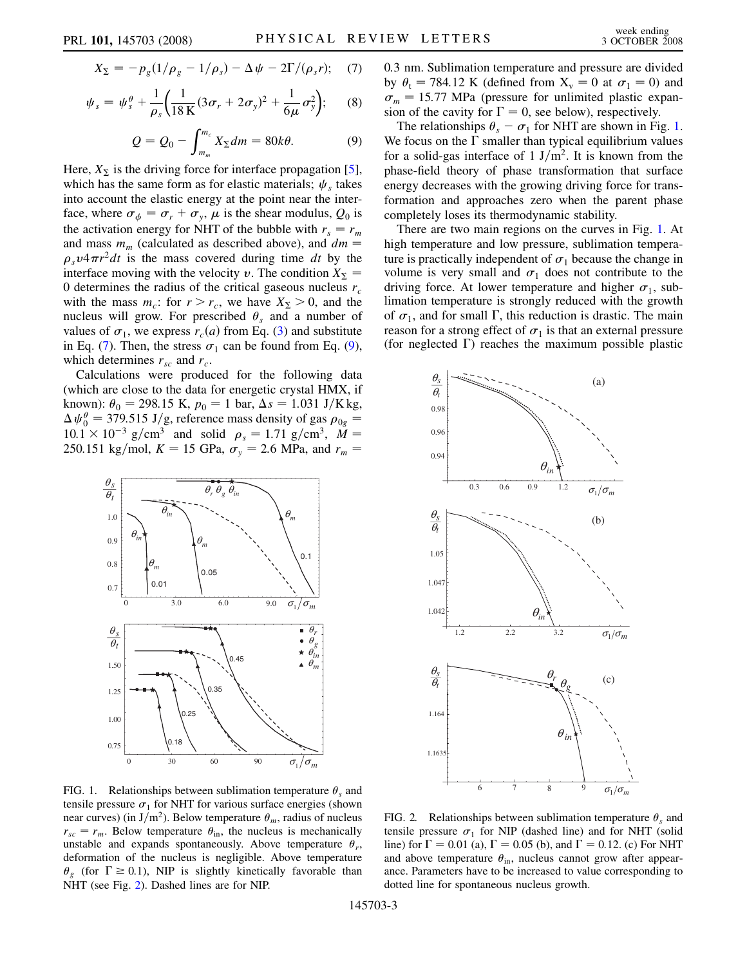<span id="page-2-1"></span>
$$
X_{\Sigma} = -p_g(1/\rho_g - 1/\rho_s) - \Delta \psi - 2\Gamma/(\rho_s r); \quad (7)
$$

<span id="page-2-0"></span>
$$
\psi_s = \psi_s^{\theta} + \frac{1}{\rho_s} \left( \frac{1}{18 \text{ K}} (3\sigma_r + 2\sigma_y)^2 + \frac{1}{6\mu} \sigma_y^2 \right); \qquad (8)
$$

$$
Q = Q_0 - \int_{m_m}^{m_c} X_{\Sigma} dm = 80k\theta. \tag{9}
$$

Here,  $X_{\Sigma}$  is the driving force for interface propagation [5], which has the same form as for elastic materials;  $\psi_s$  takes into account the elastic energy at the point near the interface, where  $\sigma_{\phi} = \sigma_r + \sigma_y$ ,  $\mu$  is the shear modulus,  $Q_0$  is<br>the estimation energy for NHT of the hubble with  $x = r$ . the activation energy for NHT of the bubble with  $r_s = r_m$ and mass  $m_m$  (calculated as described above), and  $dm =$  $\rho_s v 4\pi r^2 dt$  is the mass covered during time dt by the interface moving with the velocity v. The condition  $X_{\Sigma}$  = 0 determines the radius of the critical gaseous nucleus  $r_c$ with the mass  $m_c$ : for  $r > r_c$ , we have  $X_{\Sigma} > 0$ , and the nucleus will grow. For prescribed  $\theta_s$  and a number of values of  $\sigma_1$ , we express  $r_c(a)$  from Eq. [\(3](#page-1-2)) and substitute<br>in Eq. (7) Then, the stress  $\sigma_c$  can be found from Eq. (9) in Eq. (7). Then, the stress  $\sigma_1$  can be found from Eq. ([9\)](#page-2-0), which determines  $r_1$  and  $r_2$ which determines  $r_{sc}$  and  $r_c$ .

Calculations were produced for the following data (which are close to the data for energetic crystal HMX, if known):  $\theta_0 = 298.15$  K,  $p_0 = 1$  bar,  $\Delta s = 1.031$  J/K kg,<br> $\Delta u l_0^{\theta} = 379.515$  J/g reference mass density of gas  $\rho_0 =$  $10.1 \times 10^{-3}$  g/cm<sup>3</sup> and solid  $\rho_s = 1.71$  g/cm<sup>3</sup>,  $M = 250.151$  kg/mol  $K = 15$  GPa  $\sigma_r = 2.6$  MPa and  $r_r = 1$  $\psi_0^{\theta} = 379.515 \text{ J/g}$ , reference mass density of gas  $\rho_{0g} = 0.1 \times 10^{-3} \text{ g/cm}^3$  and solid  $\rho_{0g} = 1.71 \text{ g/cm}^3$   $M =$ 250.151 kg/mol,  $K = 15$  GPa,  $\sigma_y = 2.6$  MPa, and  $r_m =$ 



0:3 nm. Sublimation temperature and pressure are divided by  $\theta_t = 784.12$  K (defined from  $X_y = 0$  at  $\sigma_1 = 0$ ) and  $\sigma_2 = 15.77$  MPa (pressure for unlimited plastic expan- $\sigma_m = 15.77$  MPa (pressure for unlimited plastic expansion of the cavity for  $\Gamma = 0$  see below) respectively sion of the cavity for  $\Gamma = 0$ , see below), respectively.

The relationships  $\theta_s - \sigma_1$  for NHT are shown in Fig. 1. We focus on the  $\Gamma$  smaller than typical equilibrium values for a solid-gas interface of 1 J/m<sup>2</sup>. It is known from the phase-field theory of phase transformation that surface energy decreases with the growing driving force for transformation and approaches zero when the parent phase completely loses its thermodynamic stability.

There are two main regions on the curves in Fig. 1. At high temperature and low pressure, sublimation temperature is practically independent of  $\sigma_1$  because the change in volume is very small and  $\sigma_1$  does not contribute to the volume is very small and  $\sigma_1$  does not contribute to the<br>driving force. At lower temperature and bigher  $\sigma_1$  subdriving force. At lower temperature and higher  $\sigma_1$ , sub-<br>limation temperature is strongly reduced with the growth limation temperature is strongly reduced with the growth of  $\sigma_1$ , and for small  $\Gamma$ , this reduction is drastic. The main<br>reason for a strong effect of  $\sigma_1$  is that an external pressure reason for a strong effect of  $\sigma_1$  is that an external pressure<br>(for neglected  $\Gamma$ ) reaches the maximum possible plastic (for neglected  $\Gamma$ ) reaches the maximum possible plastic



FIG. 1. Relationships between sublimation temperature  $\theta_s$  and tensile pressure  $\sigma_1$  for NHT for various surface energies (shown<br>near curves) (in  $I/m^2$ ). Below temperature  $\theta$ , radius of nucleus near curves) (in J/m<sup>2</sup>). Below temperature  $\theta_m$ , radius of nucleus  $r_{sc} = r_m$ . Below temperature  $\theta_{\text{in}}$ , the nucleus is mechanically unstable and expands spontaneously. Above temperature  $\theta_r$ , deformation of the nucleus is negligible. Above temperature  $\theta_g$  (for  $\Gamma \ge 0.1$ ), NIP is slightly kinetically favorable than<br>NHT (see Fig. 2), Doshed lines are for NIP NHT (see Fig. 2). Dashed lines are for NIP.

FIG. 2. Relationships between sublimation temperature  $\theta_s$  and tensile pressure  $\sigma_1$  for NIP (dashed line) and for NHT (solid<br>line) for  $\Gamma = 0.01$  (a)  $\Gamma = 0.05$  (b) and  $\Gamma = 0.12$  (c) For NHT line) for  $\Gamma = 0.01$  (a),  $\Gamma = 0.05$  (b), and  $\Gamma = 0.12$ . (c) For NHT and above temperature  $\theta_{\text{in}}$ , nucleus cannot grow after appearance. Parameters have to be increased to value corresponding to dotted line for spontaneous nucleus growth.